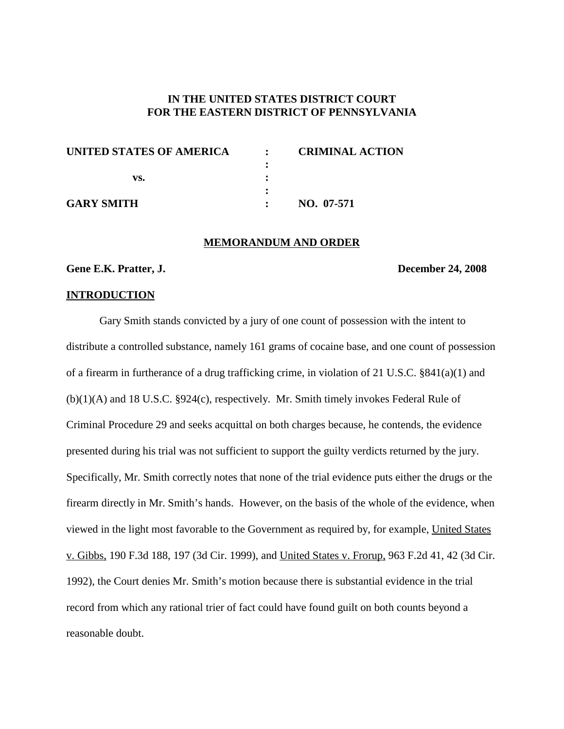# **IN THE UNITED STATES DISTRICT COURT FOR THE EASTERN DISTRICT OF PENNSYLVANIA**

| UNITED STATES OF AMERICA | $\mathbb{R}$ | <b>CRIMINAL ACTION</b> |
|--------------------------|--------------|------------------------|
|                          |              |                        |
| vs.                      |              |                        |
|                          |              |                        |
| <b>GARY SMITH</b>        |              | NO. 07-571             |

### **MEMORANDUM AND ORDER**

## **Gene E.K. Pratter, J. December 24, 2008**

#### **INTRODUCTION**

Gary Smith stands convicted by a jury of one count of possession with the intent to distribute a controlled substance, namely 161 grams of cocaine base, and one count of possession of a firearm in furtherance of a drug trafficking crime, in violation of 21 U.S.C. §841(a)(1) and (b)(1)(A) and 18 U.S.C. §924(c), respectively. Mr. Smith timely invokes Federal Rule of Criminal Procedure 29 and seeks acquittal on both charges because, he contends, the evidence presented during his trial was not sufficient to support the guilty verdicts returned by the jury. Specifically, Mr. Smith correctly notes that none of the trial evidence puts either the drugs or the firearm directly in Mr. Smith's hands. However, on the basis of the whole of the evidence, when viewed in the light most favorable to the Government as required by, for example, United States v. Gibbs, 190 F.3d 188, 197 (3d Cir. 1999), and United States v. Frorup, 963 F.2d 41, 42 (3d Cir. 1992), the Court denies Mr. Smith's motion because there is substantial evidence in the trial record from which any rational trier of fact could have found guilt on both counts beyond a reasonable doubt.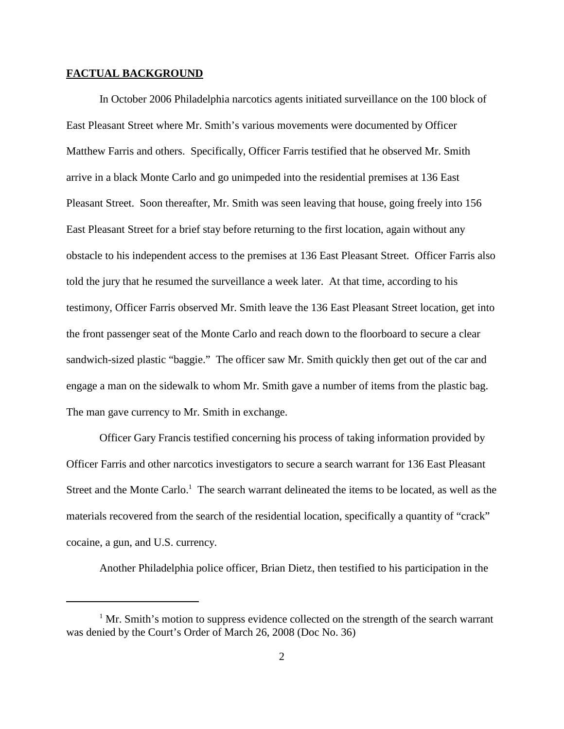#### **FACTUAL BACKGROUND**

In October 2006 Philadelphia narcotics agents initiated surveillance on the 100 block of East Pleasant Street where Mr. Smith's various movements were documented by Officer Matthew Farris and others. Specifically, Officer Farris testified that he observed Mr. Smith arrive in a black Monte Carlo and go unimpeded into the residential premises at 136 East Pleasant Street. Soon thereafter, Mr. Smith was seen leaving that house, going freely into 156 East Pleasant Street for a brief stay before returning to the first location, again without any obstacle to his independent access to the premises at 136 East Pleasant Street. Officer Farris also told the jury that he resumed the surveillance a week later. At that time, according to his testimony, Officer Farris observed Mr. Smith leave the 136 East Pleasant Street location, get into the front passenger seat of the Monte Carlo and reach down to the floorboard to secure a clear sandwich-sized plastic "baggie." The officer saw Mr. Smith quickly then get out of the car and engage a man on the sidewalk to whom Mr. Smith gave a number of items from the plastic bag. The man gave currency to Mr. Smith in exchange.

Officer Gary Francis testified concerning his process of taking information provided by Officer Farris and other narcotics investigators to secure a search warrant for 136 East Pleasant Street and the Monte Carlo.<sup>1</sup> The search warrant delineated the items to be located, as well as the materials recovered from the search of the residential location, specifically a quantity of "crack" cocaine, a gun, and U.S. currency.

Another Philadelphia police officer, Brian Dietz, then testified to his participation in the

 $1$  Mr. Smith's motion to suppress evidence collected on the strength of the search warrant was denied by the Court's Order of March 26, 2008 (Doc No. 36)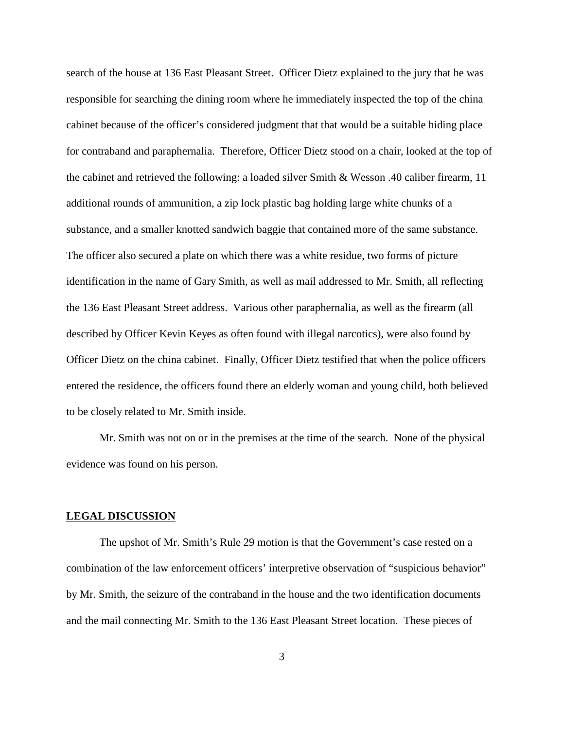search of the house at 136 East Pleasant Street. Officer Dietz explained to the jury that he was responsible for searching the dining room where he immediately inspected the top of the china cabinet because of the officer's considered judgment that that would be a suitable hiding place for contraband and paraphernalia. Therefore, Officer Dietz stood on a chair, looked at the top of the cabinet and retrieved the following: a loaded silver Smith & Wesson .40 caliber firearm, 11 additional rounds of ammunition, a zip lock plastic bag holding large white chunks of a substance, and a smaller knotted sandwich baggie that contained more of the same substance. The officer also secured a plate on which there was a white residue, two forms of picture identification in the name of Gary Smith, as well as mail addressed to Mr. Smith, all reflecting the 136 East Pleasant Street address. Various other paraphernalia, as well as the firearm (all described by Officer Kevin Keyes as often found with illegal narcotics), were also found by Officer Dietz on the china cabinet. Finally, Officer Dietz testified that when the police officers entered the residence, the officers found there an elderly woman and young child, both believed to be closely related to Mr. Smith inside.

Mr. Smith was not on or in the premises at the time of the search. None of the physical evidence was found on his person.

## **LEGAL DISCUSSION**

The upshot of Mr. Smith's Rule 29 motion is that the Government's case rested on a combination of the law enforcement officers' interpretive observation of "suspicious behavior" by Mr. Smith, the seizure of the contraband in the house and the two identification documents and the mail connecting Mr. Smith to the 136 East Pleasant Street location. These pieces of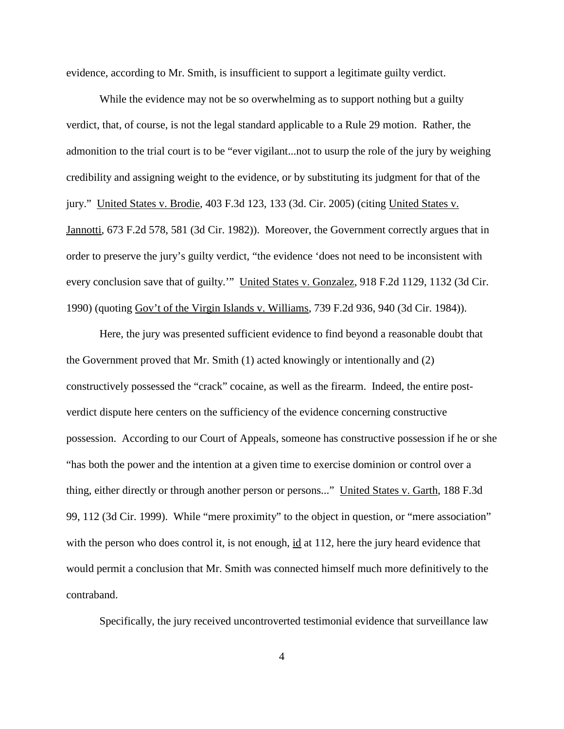evidence, according to Mr. Smith, is insufficient to support a legitimate guilty verdict.

While the evidence may not be so overwhelming as to support nothing but a guilty verdict, that, of course, is not the legal standard applicable to a Rule 29 motion. Rather, the admonition to the trial court is to be "ever vigilant...not to usurp the role of the jury by weighing credibility and assigning weight to the evidence, or by substituting its judgment for that of the jury." United States v. Brodie, 403 F.3d 123, 133 (3d. Cir. 2005) (citing United States v. Jannotti, 673 F.2d 578, 581 (3d Cir. 1982)). Moreover, the Government correctly argues that in order to preserve the jury's guilty verdict, "the evidence 'does not need to be inconsistent with every conclusion save that of guilty."" United States v. Gonzalez, 918 F.2d 1129, 1132 (3d Cir. 1990) (quoting Gov't of the Virgin Islands v. Williams, 739 F.2d 936, 940 (3d Cir. 1984)).

Here, the jury was presented sufficient evidence to find beyond a reasonable doubt that the Government proved that Mr. Smith (1) acted knowingly or intentionally and (2) constructively possessed the "crack" cocaine, as well as the firearm. Indeed, the entire postverdict dispute here centers on the sufficiency of the evidence concerning constructive possession. According to our Court of Appeals, someone has constructive possession if he or she "has both the power and the intention at a given time to exercise dominion or control over a thing, either directly or through another person or persons..." United States v. Garth, 188 F.3d 99, 112 (3d Cir. 1999). While "mere proximity" to the object in question, or "mere association" with the person who does control it, is not enough, id at 112, here the jury heard evidence that would permit a conclusion that Mr. Smith was connected himself much more definitively to the contraband.

Specifically, the jury received uncontroverted testimonial evidence that surveillance law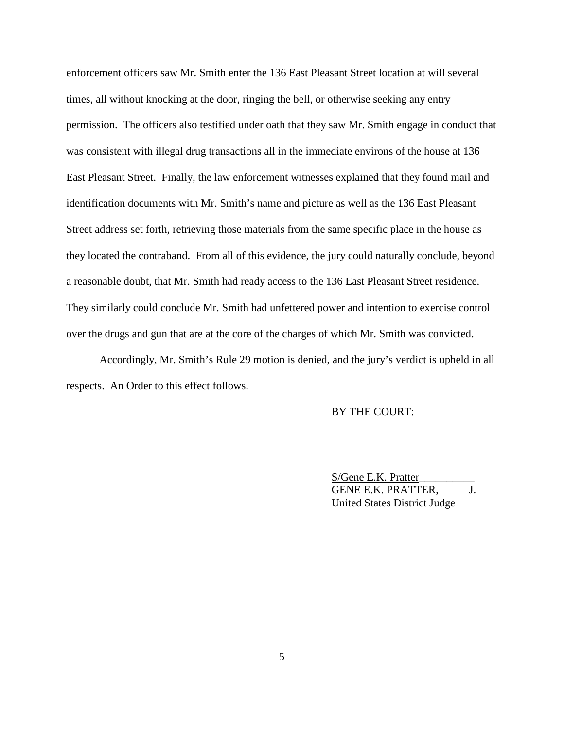enforcement officers saw Mr. Smith enter the 136 East Pleasant Street location at will several times, all without knocking at the door, ringing the bell, or otherwise seeking any entry permission. The officers also testified under oath that they saw Mr. Smith engage in conduct that was consistent with illegal drug transactions all in the immediate environs of the house at 136 East Pleasant Street. Finally, the law enforcement witnesses explained that they found mail and identification documents with Mr. Smith's name and picture as well as the 136 East Pleasant Street address set forth, retrieving those materials from the same specific place in the house as they located the contraband. From all of this evidence, the jury could naturally conclude, beyond a reasonable doubt, that Mr. Smith had ready access to the 136 East Pleasant Street residence. They similarly could conclude Mr. Smith had unfettered power and intention to exercise control over the drugs and gun that are at the core of the charges of which Mr. Smith was convicted.

Accordingly, Mr. Smith's Rule 29 motion is denied, and the jury's verdict is upheld in all respects. An Order to this effect follows.

## BY THE COURT:

S/Gene E.K. Pratter\_\_\_\_\_\_\_\_\_\_ GENE E.K. PRATTER, J. United States District Judge